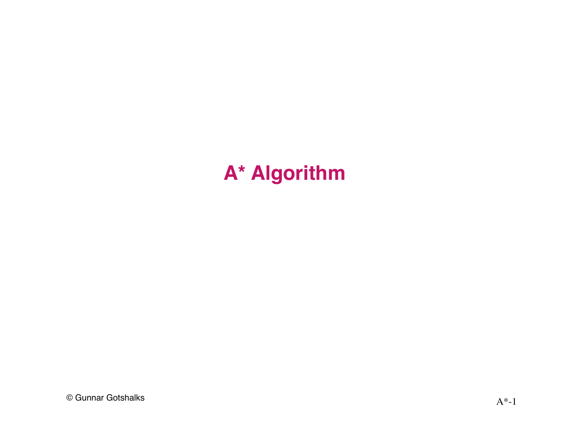# A\* Algorithm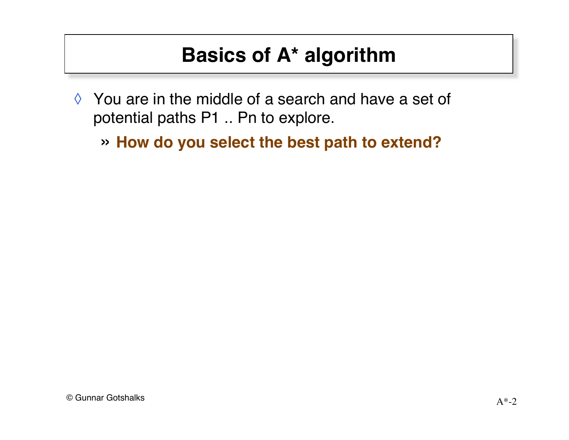- ◊ You are in the middle of a search and have a set of potential paths P1 .. Pn to explore.
	- » **How do you select the best path to extend?**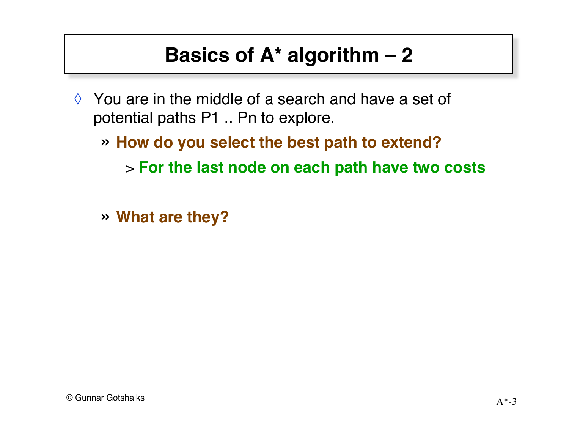- ◊ You are in the middle of a search and have a set of potential paths P1 .. Pn to explore.
	- » **How do you select the best path to extend?**
		- > **For the last node on each path have two costs**
	- » **What are they?**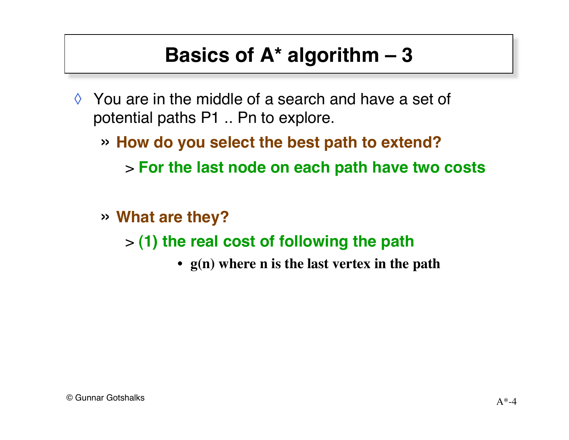- ◊ You are in the middle of a search and have a set of potential paths P1 .. Pn to explore.
	- » **How do you select the best path to extend?** > **For the last node on each path have two costs**
	- » **What are they?**

> **(1) the real cost of following the path**

• **g(n) where n is the last vertex in the path**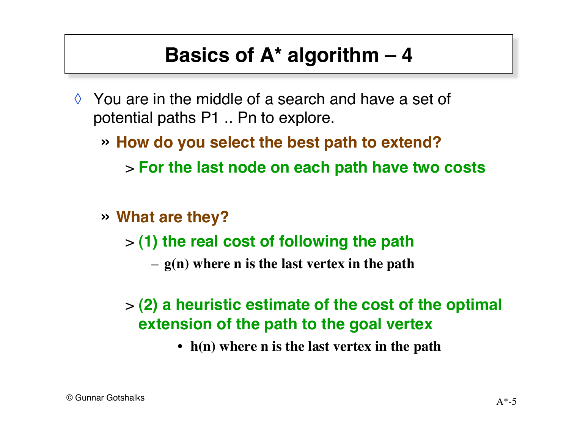- ◊ You are in the middle of a search and have a set of potential paths P1 .. Pn to explore.
	- » **How do you select the best path to extend?** > **For the last node on each path have two costs**
	- » **What are they?**
		- > **(1) the real cost of following the path**
			- **g(n) where n is the last vertex in the path**

#### > **(2) a heuristic estimate of the cost of the optimal extension of the path to the goal vertex**

• **h(n) where n is the last vertex in the path**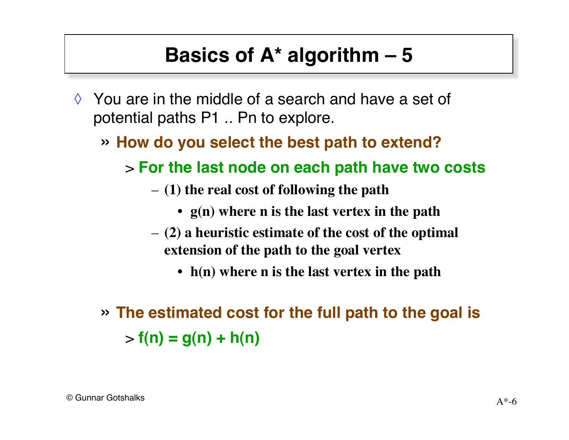- ◊ You are in the middle of a search and have a set of potential paths P1 .. Pn to explore.
	- » **How do you select the best path to extend?**
		- > **For the last node on each path have two costs**
			- **(1) the real cost of following the path**
				- **g(n) where n is the last vertex in the path**
			- **(2) a heuristic estimate of the cost of the optimal extension of the path to the goal vertex**
				- **h(n) where n is the last vertex in the path**
	- » **The estimated cost for the full path to the goal is**  $> f(n) = g(n) + h(n)$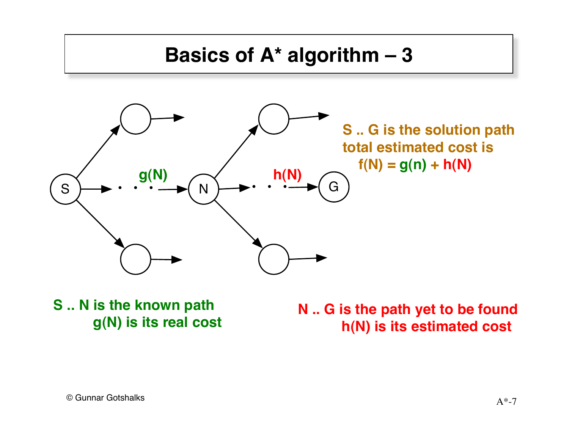

**S .. N is the known path g(N) is its real cost**

**N .. G is the path yet to be found h(N) is its estimated cost**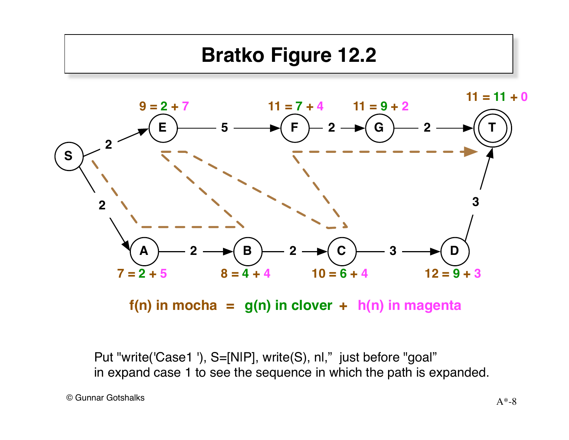# **Bratko Figure 12.2**



 $f(n)$  in mocha =  $g(n)$  in clover +  $h(n)$  in magenta

Put "write('Case1 '), S=[NIP], write(S), nl," just before "goal" in expand case 1 to see the sequence in which the path is expanded.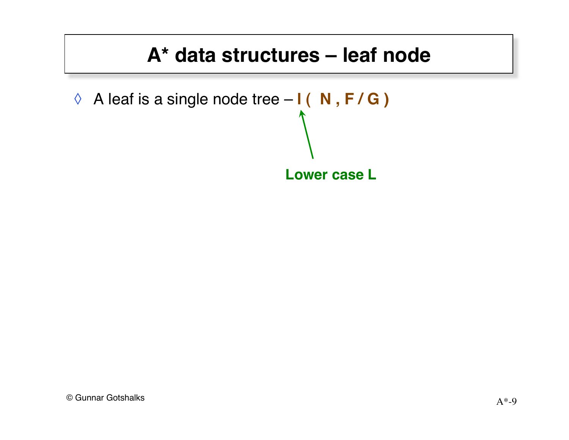#### **A\* data structures – leaf node**

```
◊ A leaf is a single node tree – l ( N , F / G )
```
**Lower case L**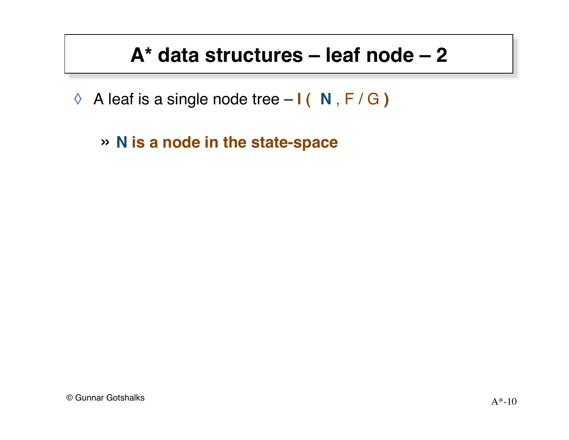#### **A\* data structures – leaf node – 2**

- ◊ A leaf is a single node tree **l ( N** , F / G **)**
	- » **N is a node in the state-space**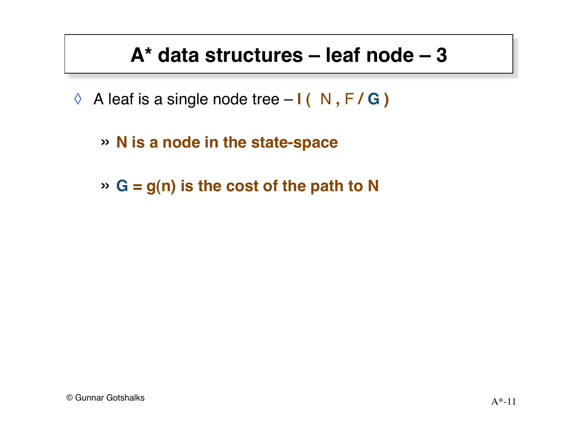#### **A\* data structures – leaf node – 3**

- ◊ A leaf is a single node tree **l (** N **,** F **/ G )**
	- » **N is a node in the state-space**
	- » **G = g(n) is the cost of the path to N**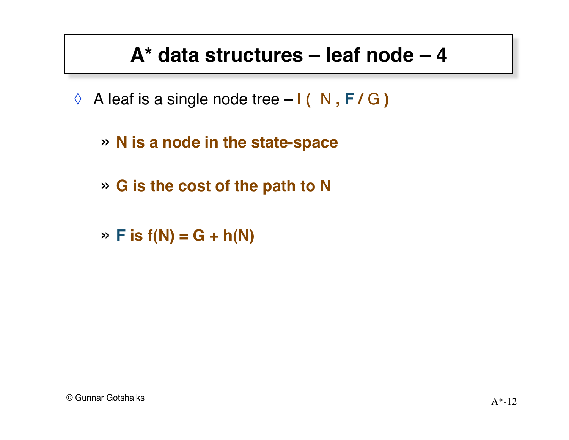#### **A\* data structures – leaf node – 4**

- ◊ A leaf is a single node tree **l (** N **, F /** G **)**
	- » **N is a node in the state-space**
	- » **G is the cost of the path to N**
	- $\rightarrow$  **F** is  $f(N) = G + h(N)$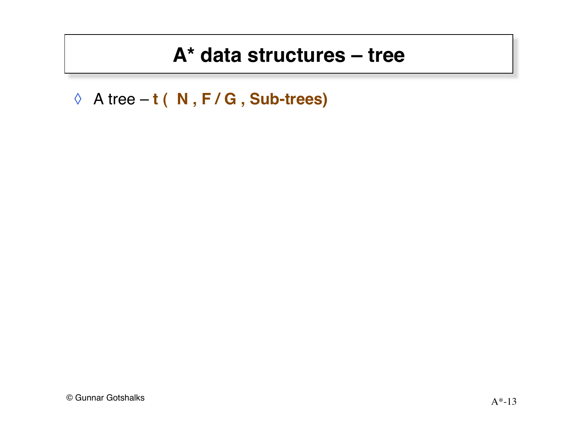#### **A\* data structures – tree**

◊ A tree – **t ( N , F / G , Sub-trees)**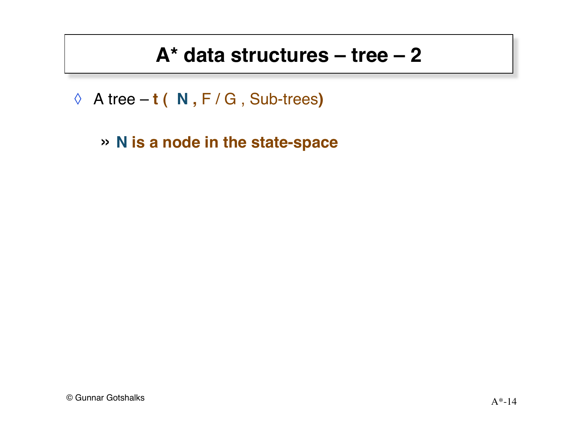#### $A^*$  data structures – tree – 2

- $\Diamond$  A tree t ( N, F / G, Sub-trees)
	- » N is a node in the state-space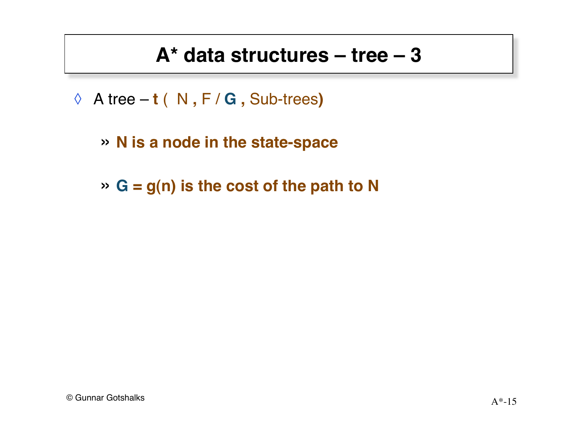#### **A\* data structures – tree – 3**

- ◊ A tree **t** ( N **,** F / **G ,** Sub-trees**)**
	- » **N is a node in the state-space**
	- » **G = g(n) is the cost of the path to N**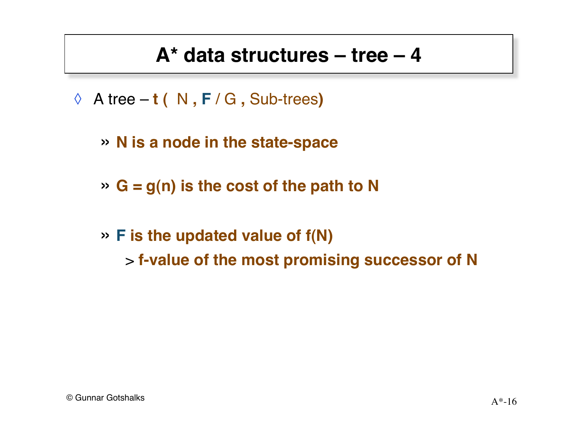#### **A\* data structures – tree – 4**

- ◊ A tree **t (** N **, F** / G **,** Sub-trees**)**
	- » **N is a node in the state-space**
	- » **G = g(n) is the cost of the path to N**
	- » **F is the updated value of f(N)** > **f-value of the most promising successor of N**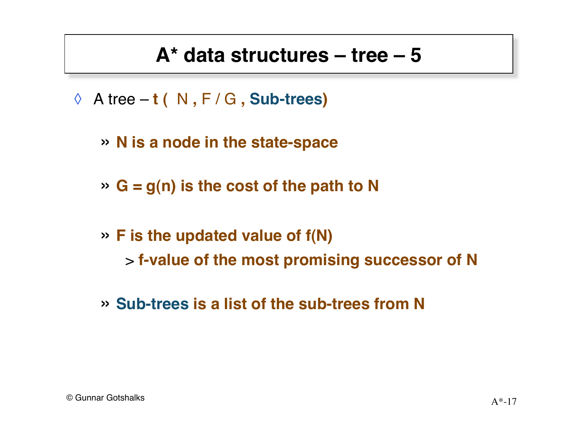#### **A\* data structures – tree – 5**

- ◊ A tree **t (** N **,** F / G **, Sub-trees)**
	- » **N is a node in the state-space**
	- » **G = g(n) is the cost of the path to N**
	- » **F is the updated value of f(N)** > **f-value of the most promising successor of N**
	- » **Sub-trees is a list of the sub-trees from N**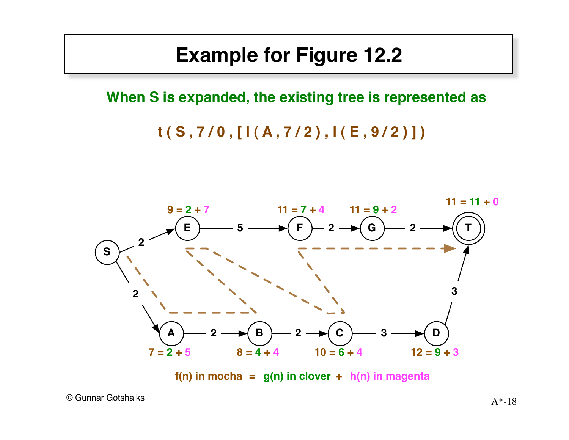#### **Example for Figure 12.2**

**When S is expanded, the existing tree is represented as**

**t ( S , 7 / 0 , [ l ( A , 7 / 2 ) , l ( E , 9 / 2 ) ] )**



**f(n) in mocha = g(n) in clover + h(n) in magenta**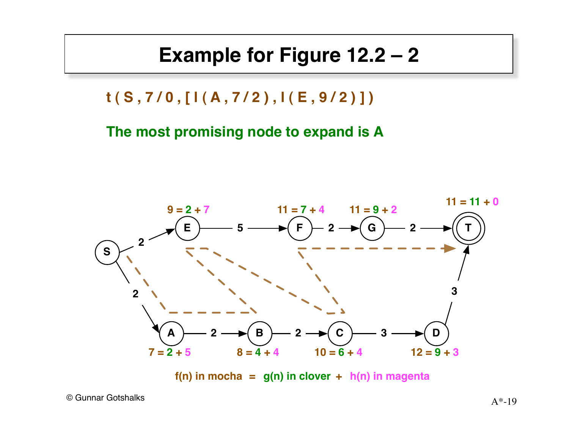#### **Example for Figure 12.2 – 2**

**t ( S , 7 / 0 , [ l ( A , 7 / 2 ) , l ( E , 9 / 2 ) ] )**

**The most promising node to expand is A**



**f(n) in mocha = g(n) in clover + h(n) in magenta**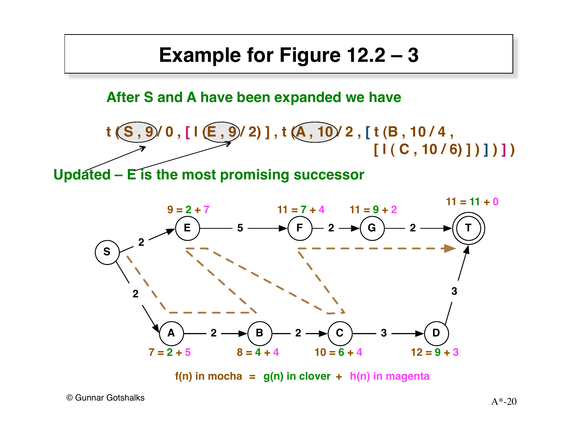#### **Example for Figure 12.2 – 3**

**After S and A have been expanded we have**



 $f(n)$  in mocha =  $g(n)$  in clover +  $h(n)$  in magenta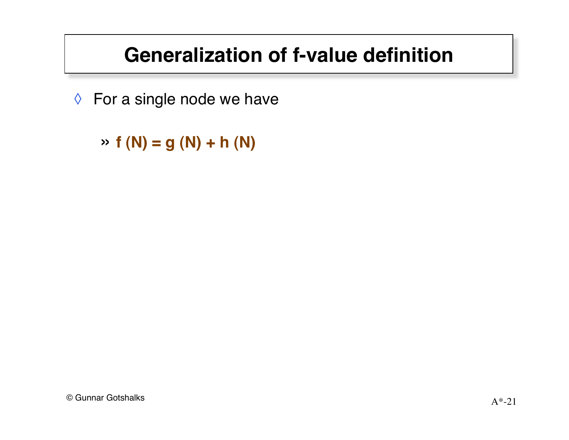# **Generalization of f-value definition**

◊ For a single node we have

» **f (N) = g (N) + h (N)**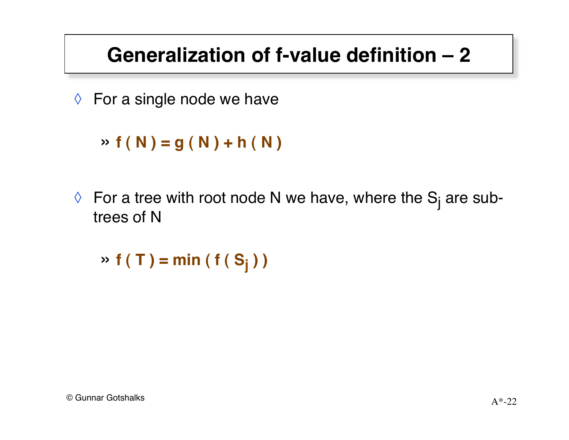# **Generalization of f-value definition – 2**

 $\Diamond$  For a single node we have

```
\rightarrow f(N) = g(N) + h(N)
```
 $\Diamond~$  For a tree with root node N we have, where the S<sub>j</sub> are subtrees of N

 $\triangleright$  **f** ( **T** ) = min ( **f** ( **S**<sub>j</sub> ) )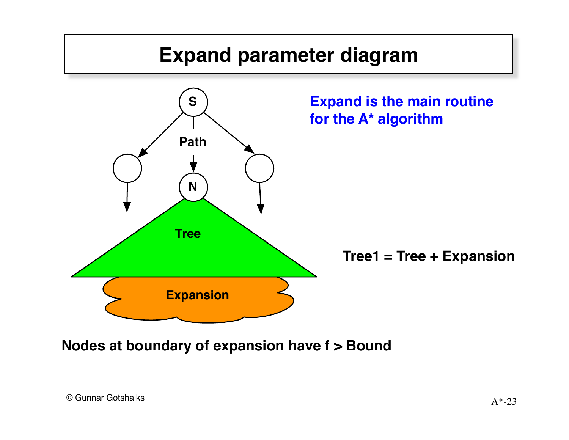

**Nodes at boundary of expansion have f > Bound**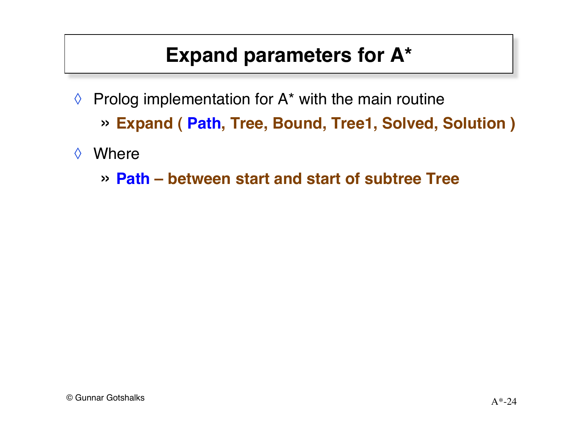- $\Diamond$  Prolog implementation for A\* with the main routine » **Expand ( Path, Tree, Bound, Tree1, Solved, Solution )**
- ◊ Where
	- » **Path between start and start of subtree Tree**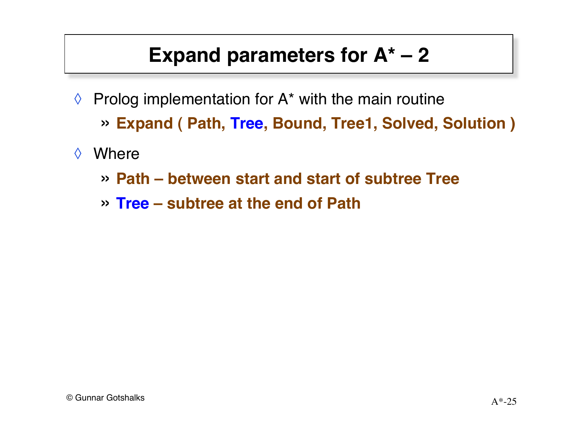- $\Diamond$  Prolog implementation for A\* with the main routine » **Expand ( Path, Tree, Bound, Tree1, Solved, Solution )**
- ◊ Where
	- » **Path between start and start of subtree Tree**
	- » **Tree subtree at the end of Path**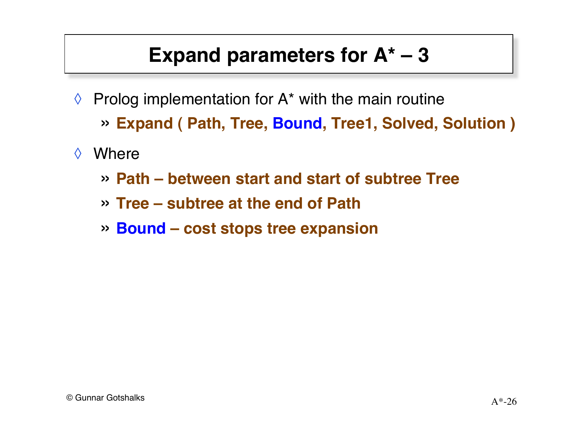- $\Diamond$  Prolog implementation for A\* with the main routine » **Expand ( Path, Tree, Bound, Tree1, Solved, Solution )**
- ◊ Where
	- » **Path between start and start of subtree Tree**
	- » **Tree subtree at the end of Path**
	- » **Bound cost stops tree expansion**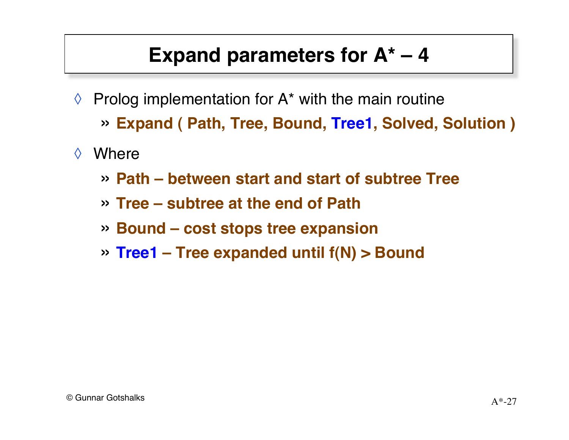- $\Diamond$  Prolog implementation for A\* with the main routine » **Expand ( Path, Tree, Bound, Tree1, Solved, Solution )**
- ◊ Where
	- » **Path between start and start of subtree Tree**
	- » **Tree subtree at the end of Path**
	- » **Bound cost stops tree expansion**
	- » **Tree1 Tree expanded until f(N) > Bound**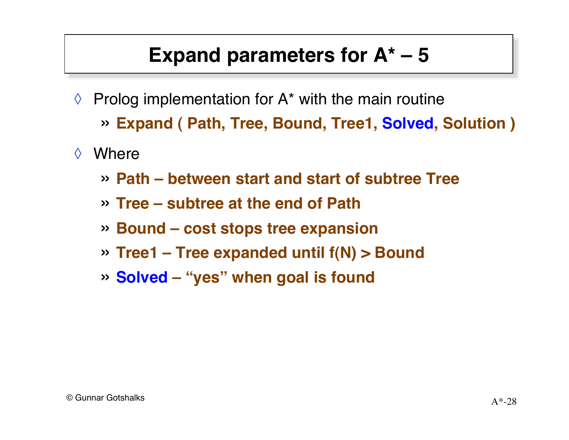- $\Diamond$  Prolog implementation for A\* with the main routine » **Expand ( Path, Tree, Bound, Tree1, Solved, Solution )**
- ◊ Where
	- » **Path between start and start of subtree Tree**
	- » **Tree subtree at the end of Path**
	- » **Bound cost stops tree expansion**
	- » **Tree1 Tree expanded until f(N) > Bound**
	- » **Solved "yes" when goal is found**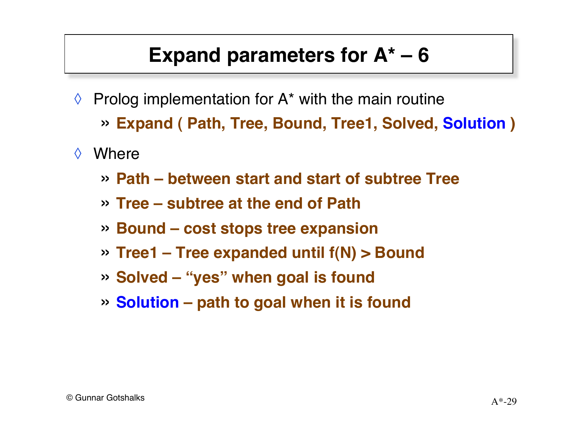- $\Diamond$  Prolog implementation for A\* with the main routine » **Expand ( Path, Tree, Bound, Tree1, Solved, Solution )**
- ◊ Where
	- » **Path between start and start of subtree Tree**
	- » **Tree subtree at the end of Path**
	- » **Bound cost stops tree expansion**
	- » **Tree1 Tree expanded until f(N) > Bound**
	- » **Solved "yes" when goal is found**
	- » **Solution – path to goal when it is found**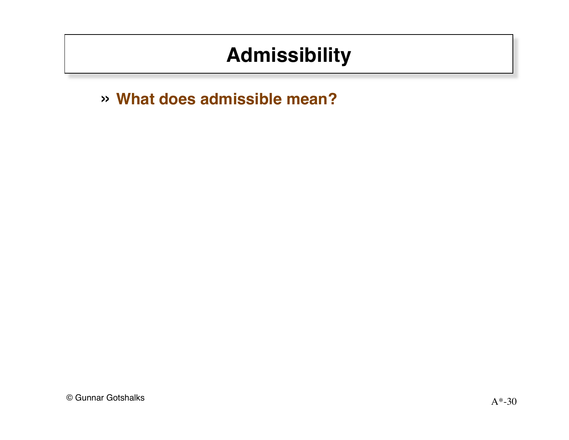# **Admissibility**

» What does admissible mean?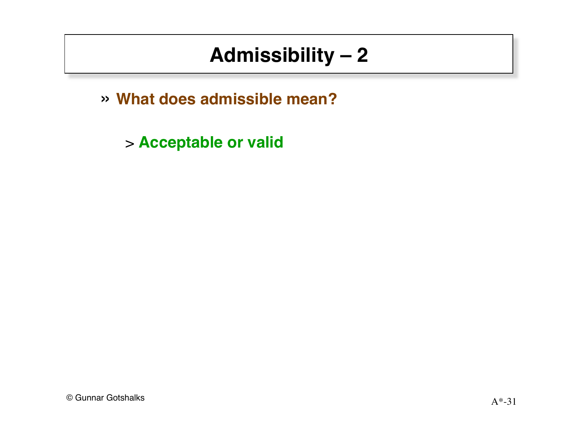# Admissibility  $-2$

» What does admissible mean?

> Acceptable or valid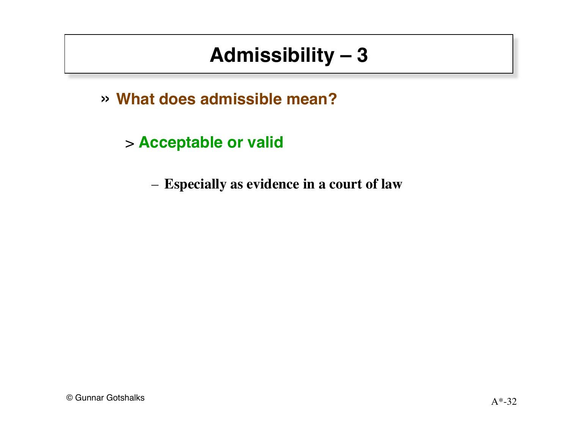# Admissibility  $-3$

» What does admissible mean?

> Acceptable or valid

- Especially as evidence in a court of law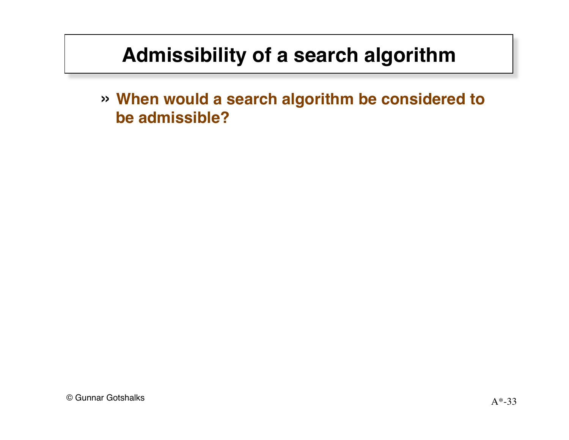# **Admissibility of a search algorithm**

» **When would a search algorithm be considered to be admissible?**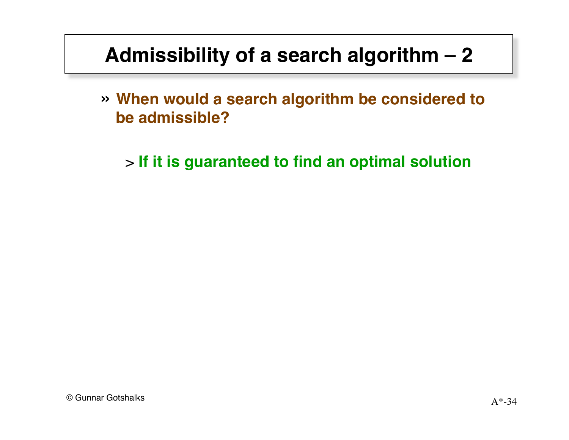# **Admissibility of a search algorithm – 2**

- » **When would a search algorithm be considered to be admissible?**
	- > **If it is guaranteed to find an optimal solution**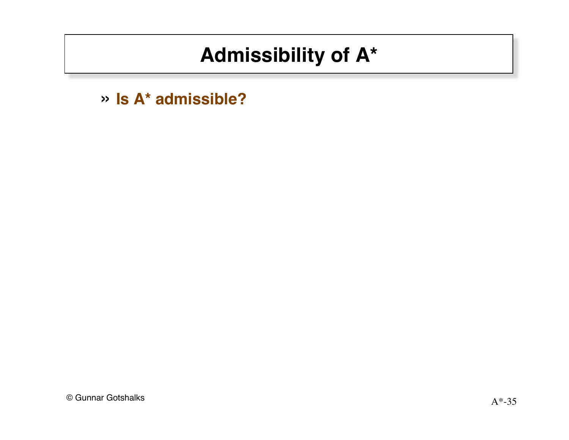» Is A\* admissible?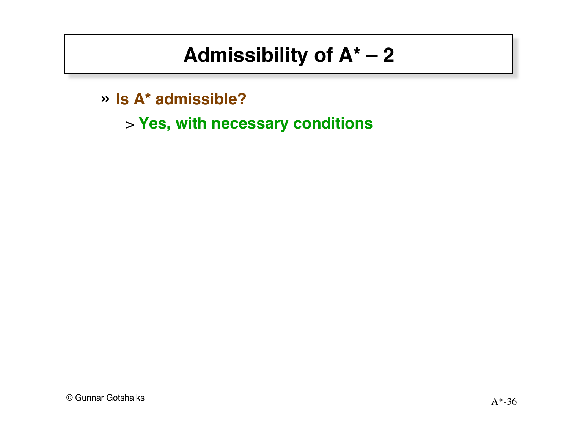- » Is A\* admissible?
	- > Yes, with necessary conditions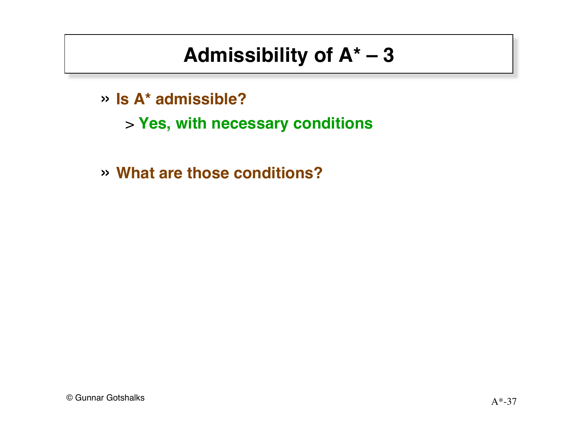- » Is A\* admissible?
	- > Yes, with necessary conditions
- » What are those conditions?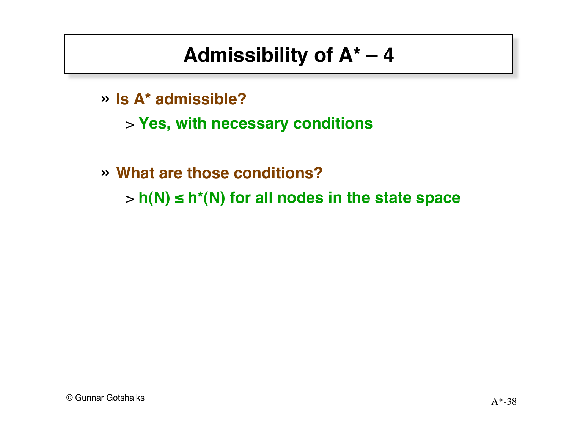- » **Is A\* admissible?**
	- > **Yes, with necessary conditions**
- » **What are those conditions?** > **h(N) ≤ h\*(N) for all nodes in the state space**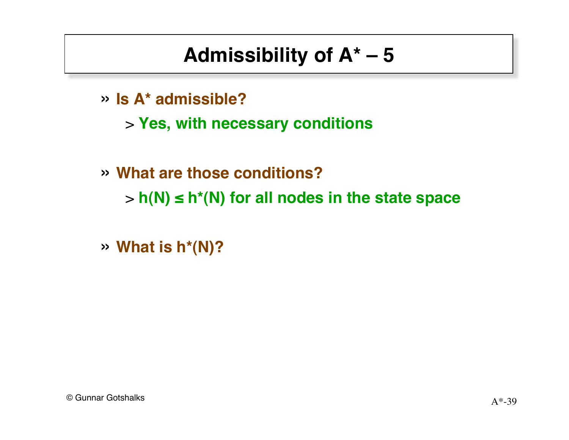- » **Is A\* admissible?**
	- > **Yes, with necessary conditions**

» **What are those conditions?** > **h(N) ≤ h\*(N) for all nodes in the state space**

» **What is h\*(N)?**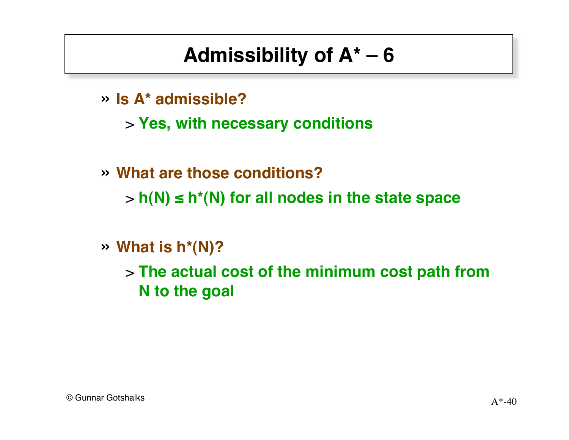- » **Is A\* admissible?**
	- > **Yes, with necessary conditions**
- » **What are those conditions?** > **h(N) ≤ h\*(N) for all nodes in the state space**
- » **What is h\*(N)?**
	- > **The actual cost of the minimum cost path from N to the goal**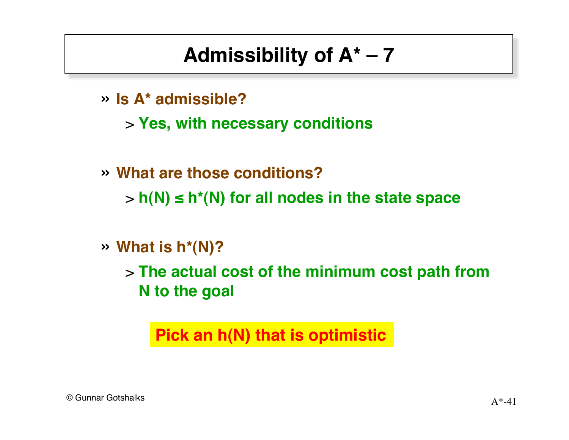- » **Is A\* admissible?**
	- > **Yes, with necessary conditions**
- » **What are those conditions?**
	- > **h(N) ≤ h\*(N) for all nodes in the state space**
- » **What is h\*(N)?**
	- > **The actual cost of the minimum cost path from N to the goal**

**Pick an h(N) that is optimistic**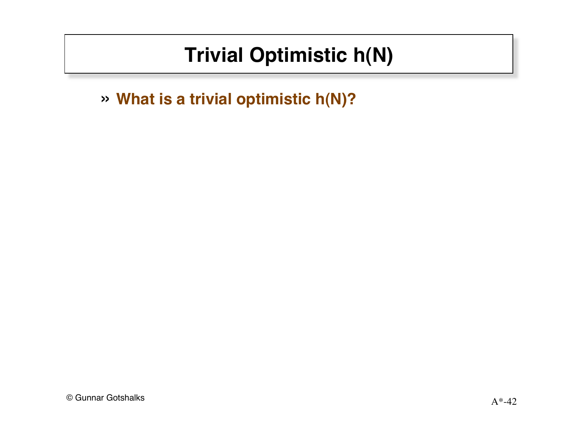# **Trivial Optimistic h(N)**

» What is a trivial optimistic h(N)?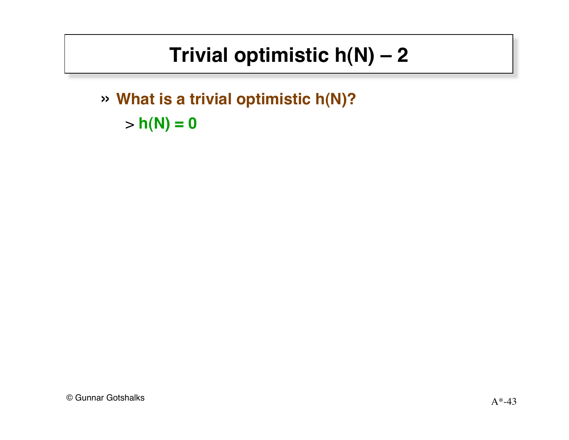# Trivial optimistic  $h(N) - 2$

» What is a trivial optimistic h(N)?  $> h(N) = 0$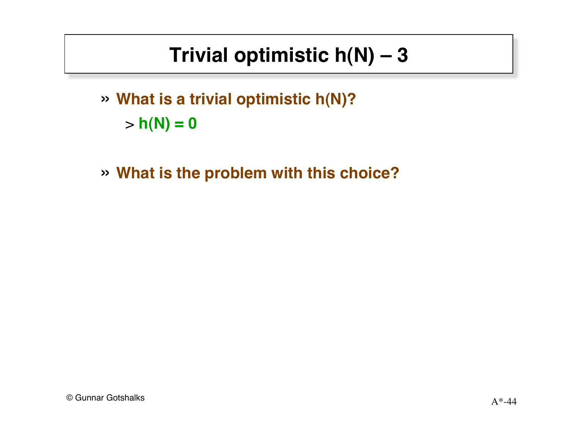# **Trivial optimistic h(N) – 3**

- » **What is a trivial optimistic h(N)?**  $> h(N) = 0$
- » **What is the problem with this choice?**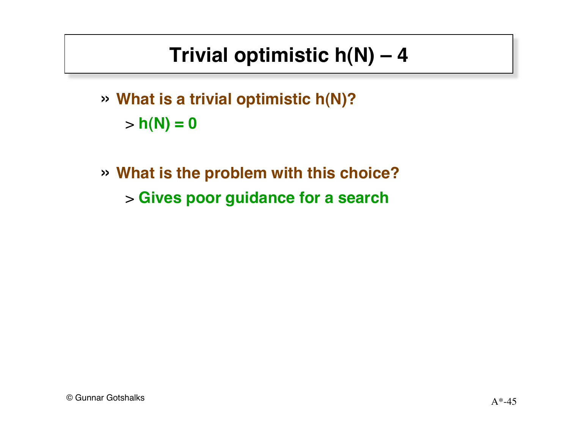# **Trivial optimistic h(N) – 4**

- » **What is a trivial optimistic h(N)?**  $> h(N) = 0$
- » **What is the problem with this choice?** > **Gives poor guidance for a search**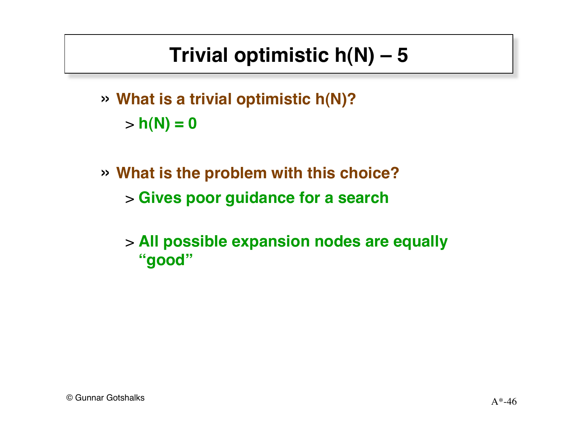# **Trivial optimistic h(N) – 5**

- » **What is a trivial optimistic h(N)?**  $> h(N) = 0$
- » **What is the problem with this choice?** > **Gives poor guidance for a search**
	- > **All possible expansion nodes are equally "good"**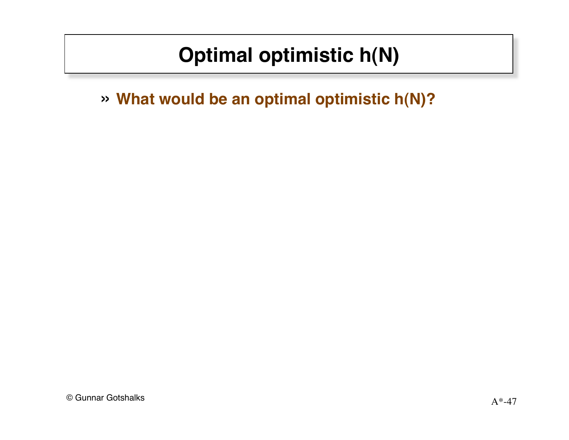# **Optimal optimistic h(N)**

» **What would be an optimal optimistic h(N)?**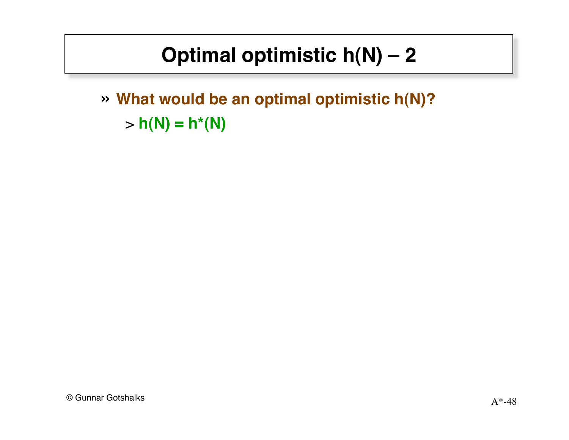# Optimal optimistic  $h(N) - 2$

» What would be an optimal optimistic h(N)?  $> h(N) = h^{*}(N)$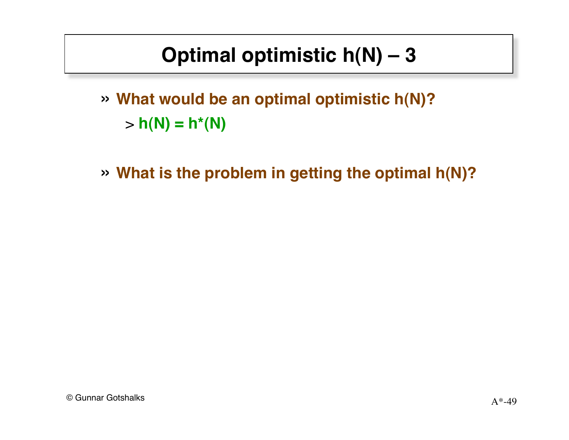# **Optimal optimistic h(N) – 3**

» **What would be an optimal optimistic h(N)?**  $> h(N) = h^{*}(N)$ 

» **What is the problem in getting the optimal h(N)?**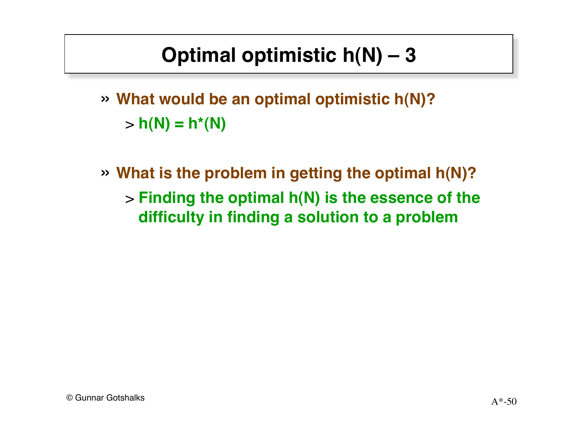# **Optimal optimistic h(N) – 3**

- » **What would be an optimal optimistic h(N)?**  $> h(N) = h^{*}(N)$
- » **What is the problem in getting the optimal h(N)?** > **Finding the optimal h(N) is the essence of the difficulty in finding a solution to a problem**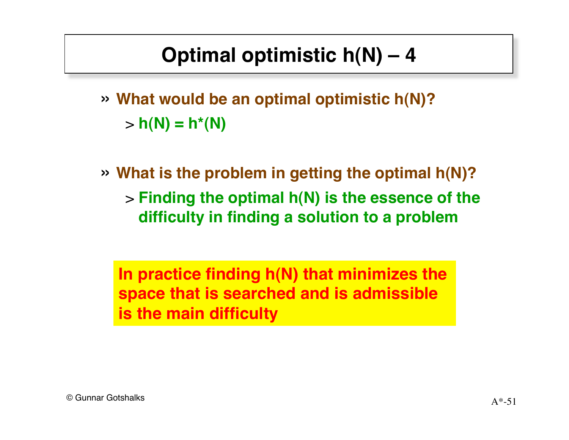# **Optimal optimistic h(N) – 4**

- » **What would be an optimal optimistic h(N)?**  $> h(N) = h^{*}(N)$
- » **What is the problem in getting the optimal h(N)?** > **Finding the optimal h(N) is the essence of the difficulty in finding a solution to a problem**

**In practice finding h(N) that minimizes the space that is searched and is admissible is the main difficulty**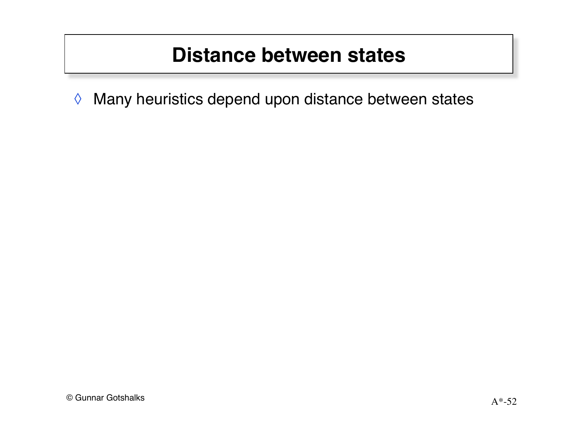### **Distance between states**

Many heuristics depend upon distance between states  $\Diamond$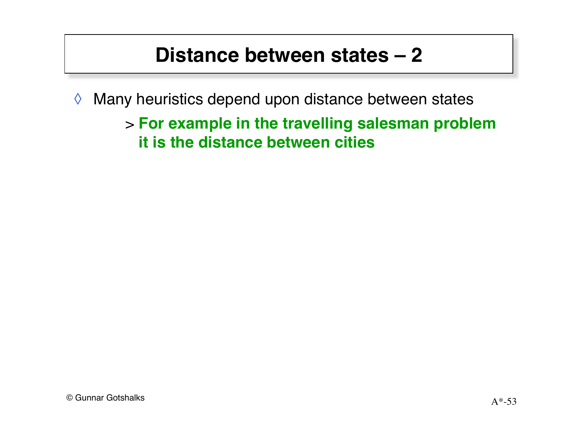### Distance between states - 2

- Many heuristics depend upon distance between states  $\Diamond$ 
	- > For example in the travelling salesman problem it is the distance between cities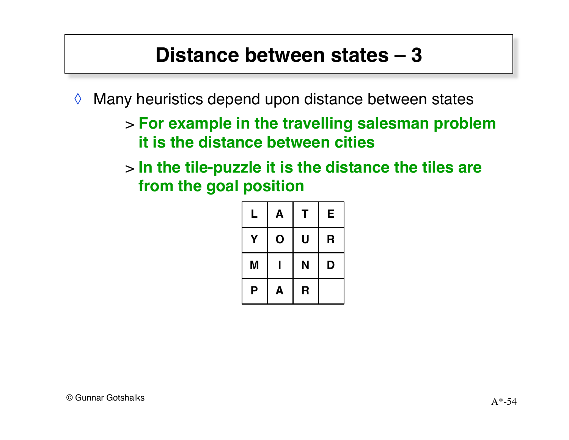### **Distance between states – 3**

- ◊ Many heuristics depend upon distance between states
	- > **For example in the travelling salesman problem it is the distance between cities**
	- > **In the tile-puzzle it is the distance the tiles are from the goal position**

| L | A | Т | E |
|---|---|---|---|
| Υ | O | U | R |
| M |   | N | D |
| Ρ | A | R |   |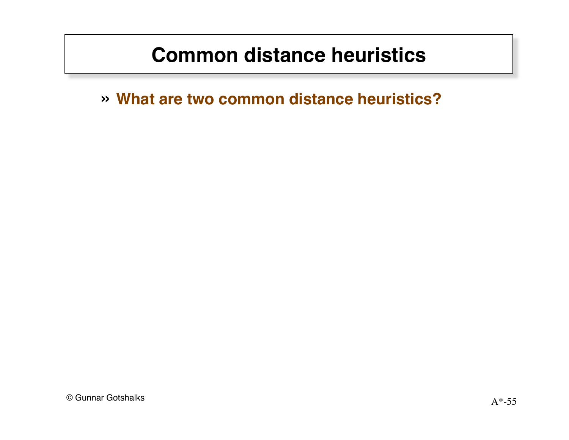### **Common distance heuristics**

» What are two common distance heuristics?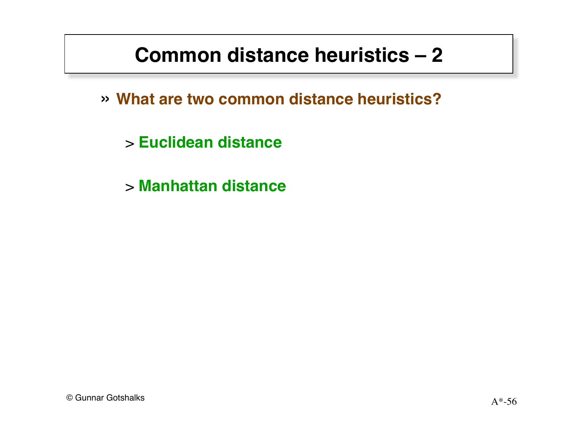### Common distance heuristics - 2

» What are two common distance heuristics?

> Euclidean distance

> Manhattan distance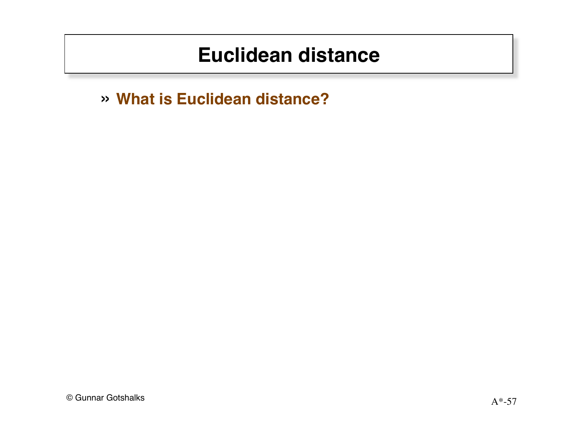#### **Euclidean distance**

» What is Euclidean distance?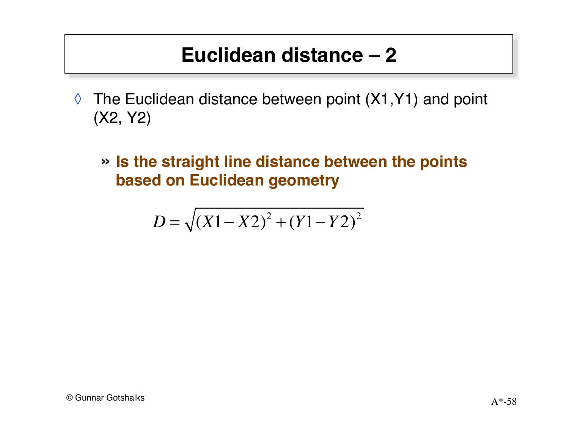### **Euclidean distance – 2**

- $\Diamond$  The Euclidean distance between point (X1, Y1) and point (X2, Y2)
	- » **Is the straight line distance between the points based on Euclidean geometry**

$$
D = \sqrt{(X1 - X2)^2 + (Y1 - Y2)^2}
$$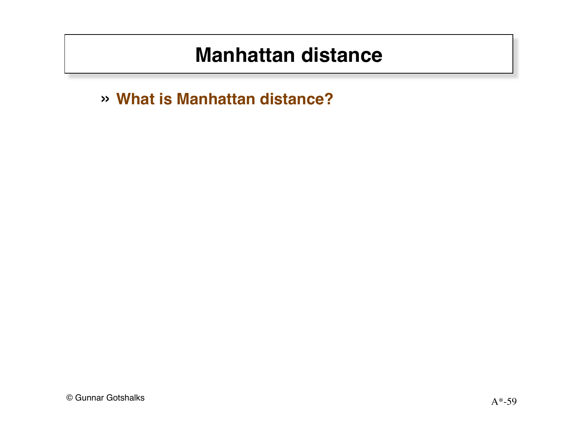#### **Manhattan distance**

» What is Manhattan distance?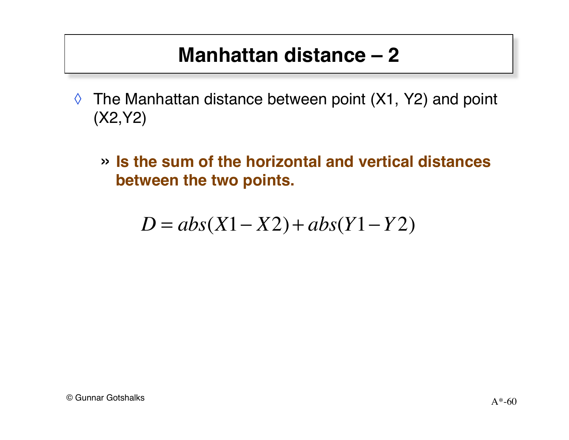### **Manhattan distance – 2**

- ◊ The Manhattan distance between point (X1, Y2) and point (X2,Y2)
	- » **Is the sum of the horizontal and vertical distances between the two points.**

$$
D = abs(X1 - X2) + abs(Y1 - Y2)
$$